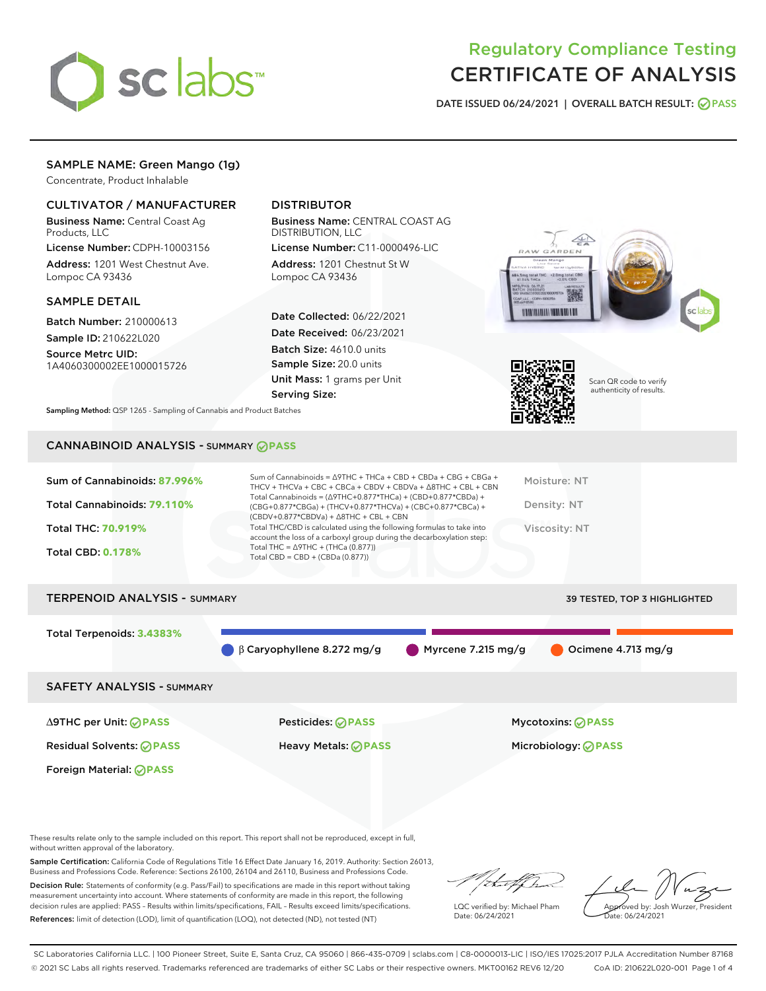

# Regulatory Compliance Testing CERTIFICATE OF ANALYSIS

DATE ISSUED 06/24/2021 | OVERALL BATCH RESULT: @ PASS

# SAMPLE NAME: Green Mango (1g)

Concentrate, Product Inhalable

# CULTIVATOR / MANUFACTURER

Business Name: Central Coast Ag Products, LLC

License Number: CDPH-10003156 Address: 1201 West Chestnut Ave. Lompoc CA 93436

#### SAMPLE DETAIL

Batch Number: 210000613

Sample ID: 210622L020 Source Metrc UID:

1A4060300002EE1000015726

# DISTRIBUTOR

Business Name: CENTRAL COAST AG DISTRIBUTION, LLC

License Number: C11-0000496-LIC Address: 1201 Chestnut St W Lompoc CA 93436

Date Collected: 06/22/2021 Date Received: 06/23/2021 Batch Size: 4610.0 units Sample Size: 20.0 units Unit Mass: 1 grams per Unit Serving Size:





Scan QR code to verify authenticity of results.

Sampling Method: QSP 1265 - Sampling of Cannabis and Product Batches

# CANNABINOID ANALYSIS - SUMMARY **PASS**

| $(CBDV+0.877*CBDVa) + \Delta 8THC + CBL + CBN$<br>Total THC/CBD is calculated using the following formulas to take into<br>Viscosity: NT<br><b>Total THC: 70.919%</b><br>account the loss of a carboxyl group during the decarboxylation step:<br>Total THC = $\triangle$ 9THC + (THCa (0.877))<br><b>Total CBD: 0.178%</b><br>Total CBD = $CBD + (CBDa (0.877))$ | Sum of Cannabinoids: 87.996%<br>Total Cannabinoids: 79.110% | Sum of Cannabinoids = $\triangle$ 9THC + THCa + CBD + CBDa + CBG + CBGa +<br>THCV + THCVa + CBC + CBCa + CBDV + CBDVa + $\Delta$ 8THC + CBL + CBN<br>Total Cannabinoids = $(\Delta$ 9THC+0.877*THCa) + (CBD+0.877*CBDa) +<br>(CBG+0.877*CBGa) + (THCV+0.877*THCVa) + (CBC+0.877*CBCa) + | Moisture: NT<br>Density: NT |
|-------------------------------------------------------------------------------------------------------------------------------------------------------------------------------------------------------------------------------------------------------------------------------------------------------------------------------------------------------------------|-------------------------------------------------------------|-----------------------------------------------------------------------------------------------------------------------------------------------------------------------------------------------------------------------------------------------------------------------------------------|-----------------------------|
|                                                                                                                                                                                                                                                                                                                                                                   |                                                             |                                                                                                                                                                                                                                                                                         |                             |
|                                                                                                                                                                                                                                                                                                                                                                   |                                                             |                                                                                                                                                                                                                                                                                         |                             |

# TERPENOID ANALYSIS - SUMMARY 39 TESTED, TOP 3 HIGHLIGHTED Total Terpenoids: **3.4383%** β Caryophyllene 8.272 mg/g Myrcene 7.215 mg/g Ocimene 4.713 mg/g SAFETY ANALYSIS - SUMMARY

Foreign Material: **PASS**

Residual Solvents: **PASS** Heavy Metals: **PASS** Microbiology: **PASS**

∆9THC per Unit: **PASS** Pesticides: **PASS** Mycotoxins: **PASS**

These results relate only to the sample included on this report. This report shall not be reproduced, except in full, without written approval of the laboratory.

Sample Certification: California Code of Regulations Title 16 Effect Date January 16, 2019. Authority: Section 26013, Business and Professions Code. Reference: Sections 26100, 26104 and 26110, Business and Professions Code.

Decision Rule: Statements of conformity (e.g. Pass/Fail) to specifications are made in this report without taking measurement uncertainty into account. Where statements of conformity are made in this report, the following decision rules are applied: PASS – Results within limits/specifications, FAIL – Results exceed limits/specifications. References: limit of detection (LOD), limit of quantification (LOQ), not detected (ND), not tested (NT)

that fCh

LQC verified by: Michael Pham Date: 06/24/2021

Approved by: Josh Wurzer, President ate: 06/24/2021

SC Laboratories California LLC. | 100 Pioneer Street, Suite E, Santa Cruz, CA 95060 | 866-435-0709 | sclabs.com | C8-0000013-LIC | ISO/IES 17025:2017 PJLA Accreditation Number 87168 © 2021 SC Labs all rights reserved. Trademarks referenced are trademarks of either SC Labs or their respective owners. MKT00162 REV6 12/20 CoA ID: 210622L020-001 Page 1 of 4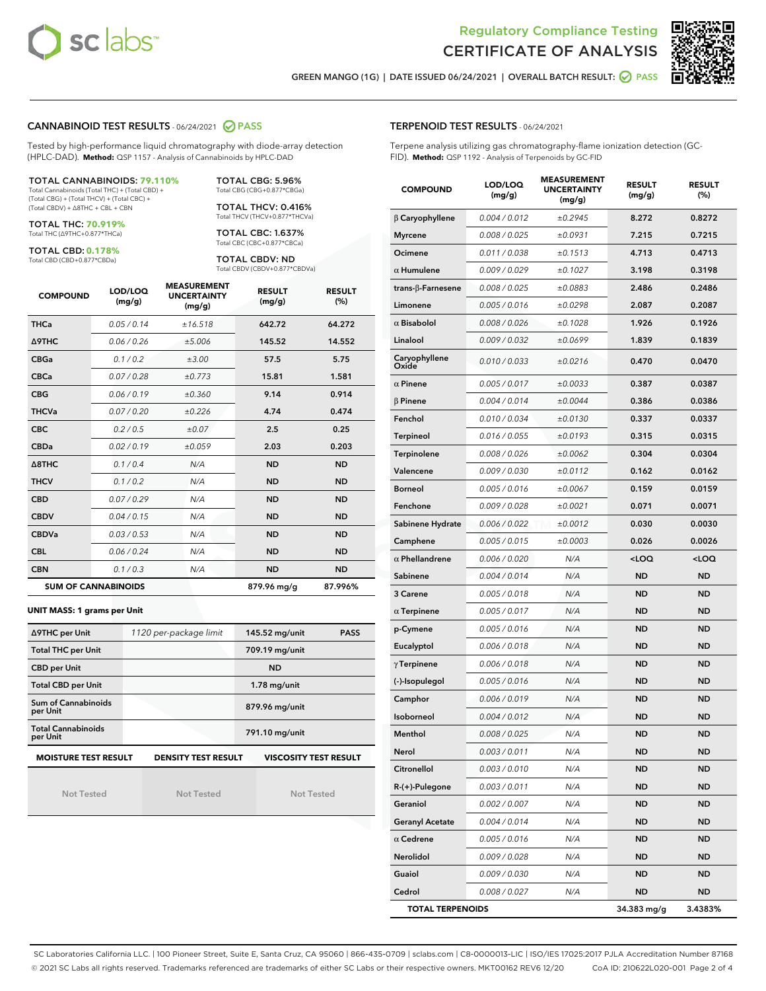



GREEN MANGO (1G) | DATE ISSUED 06/24/2021 | OVERALL BATCH RESULT: @ PASS

#### CANNABINOID TEST RESULTS - 06/24/2021 2 PASS

Tested by high-performance liquid chromatography with diode-array detection (HPLC-DAD). **Method:** QSP 1157 - Analysis of Cannabinoids by HPLC-DAD

TOTAL CANNABINOIDS: **79.110%** Total Cannabinoids (Total THC) + (Total CBD) +

(Total CBG) + (Total THCV) + (Total CBC) + (Total CBDV) + ∆8THC + CBL + CBN

TOTAL THC: **70.919%** Total THC (∆9THC+0.877\*THCa)

TOTAL CBD: **0.178%**

Total CBD (CBD+0.877\*CBDa)

TOTAL CBG: 5.96% Total CBG (CBG+0.877\*CBGa)

TOTAL THCV: 0.416% Total THCV (THCV+0.877\*THCVa)

TOTAL CBC: 1.637% Total CBC (CBC+0.877\*CBCa)

TOTAL CBDV: ND Total CBDV (CBDV+0.877\*CBDVa)

| <b>COMPOUND</b>            | LOD/LOQ<br>(mg/g) | <b>MEASUREMENT</b><br><b>UNCERTAINTY</b><br>(mg/g) | <b>RESULT</b><br>(mg/g) | <b>RESULT</b><br>(%) |
|----------------------------|-------------------|----------------------------------------------------|-------------------------|----------------------|
| <b>THCa</b>                | 0.05 / 0.14       | ±16.518                                            | 642.72                  | 64.272               |
| <b>A9THC</b>               | 0.06 / 0.26       | ±5.006                                             | 145.52                  | 14.552               |
| <b>CBGa</b>                | 0.1/0.2           | ±3.00                                              | 57.5                    | 5.75                 |
| <b>CBCa</b>                | 0.07 / 0.28       | ±0.773                                             | 15.81                   | 1.581                |
| <b>CBG</b>                 | 0.06/0.19         | ±0.360                                             | 9.14                    | 0.914                |
| <b>THCVa</b>               | 0.07/0.20         | ±0.226                                             | 4.74                    | 0.474                |
| <b>CBC</b>                 | 0.2 / 0.5         | ±0.07                                              | 2.5                     | 0.25                 |
| <b>CBDa</b>                | 0.02/0.19         | ±0.059                                             | 2.03                    | 0.203                |
| $\triangle$ 8THC           | 0.1/0.4           | N/A                                                | <b>ND</b>               | <b>ND</b>            |
| <b>THCV</b>                | 0.1/0.2           | N/A                                                | <b>ND</b>               | <b>ND</b>            |
| <b>CBD</b>                 | 0.07/0.29         | N/A                                                | <b>ND</b>               | <b>ND</b>            |
| <b>CBDV</b>                | 0.04 / 0.15       | N/A                                                | <b>ND</b>               | <b>ND</b>            |
| <b>CBDVa</b>               | 0.03/0.53         | N/A                                                | <b>ND</b>               | <b>ND</b>            |
| <b>CBL</b>                 | 0.06 / 0.24       | N/A                                                | <b>ND</b>               | <b>ND</b>            |
| <b>CBN</b>                 | 0.1/0.3           | N/A                                                | <b>ND</b>               | <b>ND</b>            |
| <b>SUM OF CANNABINOIDS</b> |                   |                                                    | 879.96 mg/g             | 87.996%              |

#### **UNIT MASS: 1 grams per Unit**

| ∆9THC per Unit                                                                            | 1120 per-package limit | 145.52 mg/unit<br><b>PASS</b> |  |  |  |
|-------------------------------------------------------------------------------------------|------------------------|-------------------------------|--|--|--|
| <b>Total THC per Unit</b>                                                                 |                        | 709.19 mg/unit                |  |  |  |
| <b>CBD per Unit</b>                                                                       |                        | <b>ND</b>                     |  |  |  |
| <b>Total CBD per Unit</b>                                                                 |                        | $1.78$ mg/unit                |  |  |  |
| Sum of Cannabinoids<br>per Unit                                                           |                        | 879.96 mg/unit                |  |  |  |
| <b>Total Cannabinoids</b><br>per Unit                                                     |                        | 791.10 mg/unit                |  |  |  |
| <b>MOISTURE TEST RESULT</b><br><b>VISCOSITY TEST RESULT</b><br><b>DENSITY TEST RESULT</b> |                        |                               |  |  |  |

Not Tested

Not Tested

Not Tested

#### TERPENOID TEST RESULTS - 06/24/2021

Terpene analysis utilizing gas chromatography-flame ionization detection (GC-FID). **Method:** QSP 1192 - Analysis of Terpenoids by GC-FID

| <b>COMPOUND</b>           | LOD/LOQ<br>(mg/g) | <b>MEASUREMENT</b><br><b>UNCERTAINTY</b><br>(mg/g) | <b>RESULT</b><br>(mg/g)                         | <b>RESULT</b><br>(%) |
|---------------------------|-------------------|----------------------------------------------------|-------------------------------------------------|----------------------|
| $\beta$ Caryophyllene     | 0.004 / 0.012     | ±0.2945                                            | 8.272                                           | 0.8272               |
| <b>Myrcene</b>            | 0.008 / 0.025     | ±0.0931                                            | 7.215                                           | 0.7215               |
| Ocimene                   | 0.011 / 0.038     | ±0.1513                                            | 4.713                                           | 0.4713               |
| $\alpha$ Humulene         | 0.009 / 0.029     | ±0.1027                                            | 3.198                                           | 0.3198               |
| trans- $\beta$ -Farnesene | 0.008 / 0.025     | ±0.0883                                            | 2.486                                           | 0.2486               |
| Limonene                  | 0.005 / 0.016     | ±0.0298                                            | 2.087                                           | 0.2087               |
| $\alpha$ Bisabolol        | 0.008 / 0.026     | ±0.1028                                            | 1.926                                           | 0.1926               |
| Linalool                  | 0.009 / 0.032     | ±0.0699                                            | 1.839                                           | 0.1839               |
| Caryophyllene<br>Oxide    | 0.010 / 0.033     | ±0.0216                                            | 0.470                                           | 0.0470               |
| $\alpha$ Pinene           | 0.005 / 0.017     | ±0.0033                                            | 0.387                                           | 0.0387               |
| $\beta$ Pinene            | 0.004 / 0.014     | ±0.0044                                            | 0.386                                           | 0.0386               |
| Fenchol                   | 0.010 / 0.034     | ±0.0130                                            | 0.337                                           | 0.0337               |
| <b>Terpineol</b>          | 0.016 / 0.055     | ±0.0193                                            | 0.315                                           | 0.0315               |
| Terpinolene               | 0.008 / 0.026     | ±0.0062                                            | 0.304                                           | 0.0304               |
| Valencene                 | 0.009 / 0.030     | ±0.0112                                            | 0.162                                           | 0.0162               |
| <b>Borneol</b>            | 0.005 / 0.016     | ±0.0067                                            | 0.159                                           | 0.0159               |
| Fenchone                  | 0.009 / 0.028     | ±0.0021                                            | 0.071                                           | 0.0071               |
| Sabinene Hydrate          | 0.006 / 0.022     | ±0.0012                                            | 0.030                                           | 0.0030               |
| Camphene                  | 0.005 / 0.015     | ±0.0003                                            | 0.026                                           | 0.0026               |
| $\alpha$ Phellandrene     | 0.006 / 0.020     | N/A                                                | <loq< th=""><th><loq< th=""></loq<></th></loq<> | <loq< th=""></loq<>  |
| Sabinene                  | 0.004 / 0.014     | N/A                                                | <b>ND</b>                                       | <b>ND</b>            |
| 3 Carene                  | 0.005 / 0.018     | N/A                                                | <b>ND</b>                                       | <b>ND</b>            |
| $\alpha$ Terpinene        | 0.005 / 0.017     | N/A                                                | ND                                              | ND                   |
| p-Cymene                  | 0.005 / 0.016     | N/A                                                | <b>ND</b>                                       | <b>ND</b>            |
| Eucalyptol                | 0.006 / 0.018     | N/A                                                | <b>ND</b>                                       | ND                   |
| $\gamma$ Terpinene        | 0.006 / 0.018     | N/A                                                | ND                                              | ND                   |
| (-)-Isopulegol            | 0.005 / 0.016     | N/A                                                | <b>ND</b>                                       | ND                   |
| Camphor                   | 0.006 / 0.019     | N/A                                                | <b>ND</b>                                       | <b>ND</b>            |
| Isoborneol                | 0.004 / 0.012     | N/A                                                | <b>ND</b>                                       | ND                   |
| Menthol                   | 0.008 / 0.025     | N/A                                                | <b>ND</b>                                       | <b>ND</b>            |
| Nerol                     | 0.003 / 0.011     | N/A                                                | ND                                              | ND                   |
| Citronellol               | 0.003 / 0.010     | N/A                                                | <b>ND</b>                                       | ND                   |
| $R-(+)$ -Pulegone         | 0.003 / 0.011     | N/A                                                | ND                                              | <b>ND</b>            |
| Geraniol                  | 0.002 / 0.007     | N/A                                                | ND                                              | ND                   |
| <b>Geranyl Acetate</b>    | 0.004 / 0.014     | N/A                                                | ND                                              | ND                   |
| $\alpha$ Cedrene          | 0.005 / 0.016     | N/A                                                | ND                                              | ND                   |
| Nerolidol                 | 0.009 / 0.028     | N/A                                                | <b>ND</b>                                       | <b>ND</b>            |
| Guaiol                    | 0.009 / 0.030     | N/A                                                | ND                                              | ND                   |
| Cedrol                    | 0.008 / 0.027     | N/A                                                | ND                                              | ND                   |
| <b>TOTAL TERPENOIDS</b>   |                   |                                                    | 34.383 mg/g                                     | 3.4383%              |

SC Laboratories California LLC. | 100 Pioneer Street, Suite E, Santa Cruz, CA 95060 | 866-435-0709 | sclabs.com | C8-0000013-LIC | ISO/IES 17025:2017 PJLA Accreditation Number 87168 © 2021 SC Labs all rights reserved. Trademarks referenced are trademarks of either SC Labs or their respective owners. MKT00162 REV6 12/20 CoA ID: 210622L020-001 Page 2 of 4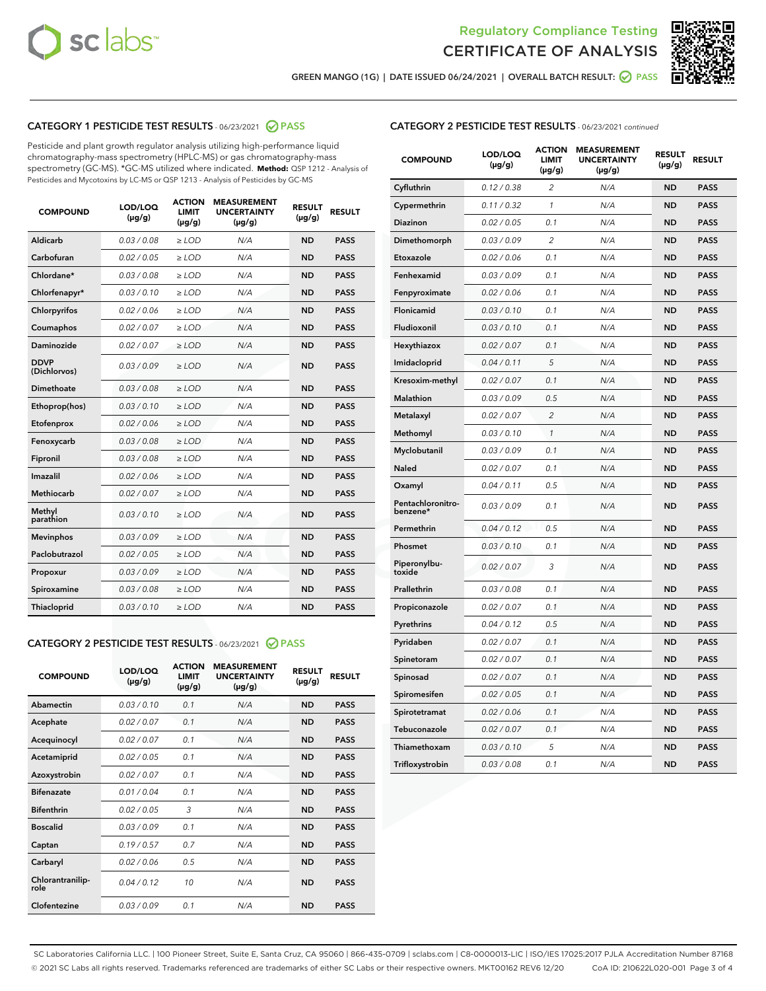



GREEN MANGO (1G) | DATE ISSUED 06/24/2021 | OVERALL BATCH RESULT: 2 PASS

# CATEGORY 1 PESTICIDE TEST RESULTS - 06/23/2021 2 PASS

Pesticide and plant growth regulator analysis utilizing high-performance liquid chromatography-mass spectrometry (HPLC-MS) or gas chromatography-mass spectrometry (GC-MS). \*GC-MS utilized where indicated. **Method:** QSP 1212 - Analysis of Pesticides and Mycotoxins by LC-MS or QSP 1213 - Analysis of Pesticides by GC-MS

| <b>COMPOUND</b>             | LOD/LOQ<br>$(\mu g/g)$ | <b>ACTION</b><br><b>LIMIT</b><br>$(\mu g/g)$ | <b>MEASUREMENT</b><br><b>UNCERTAINTY</b><br>$(\mu g/g)$ | <b>RESULT</b><br>$(\mu g/g)$ | <b>RESULT</b> |
|-----------------------------|------------------------|----------------------------------------------|---------------------------------------------------------|------------------------------|---------------|
| Aldicarb                    | 0.03 / 0.08            | $\ge$ LOD                                    | N/A                                                     | <b>ND</b>                    | <b>PASS</b>   |
| Carbofuran                  | 0.02 / 0.05            | $\geq$ LOD                                   | N/A                                                     | <b>ND</b>                    | <b>PASS</b>   |
| Chlordane*                  | 0.03 / 0.08            | $\ge$ LOD                                    | N/A                                                     | <b>ND</b>                    | <b>PASS</b>   |
| Chlorfenapyr*               | 0.03/0.10              | $\geq$ LOD                                   | N/A                                                     | <b>ND</b>                    | <b>PASS</b>   |
| Chlorpyrifos                | 0.02 / 0.06            | $\ge$ LOD                                    | N/A                                                     | <b>ND</b>                    | <b>PASS</b>   |
| Coumaphos                   | 0.02 / 0.07            | $\ge$ LOD                                    | N/A                                                     | <b>ND</b>                    | <b>PASS</b>   |
| Daminozide                  | 0.02 / 0.07            | $\ge$ LOD                                    | N/A                                                     | <b>ND</b>                    | <b>PASS</b>   |
| <b>DDVP</b><br>(Dichlorvos) | 0.03/0.09              | $>$ LOD                                      | N/A                                                     | <b>ND</b>                    | <b>PASS</b>   |
| Dimethoate                  | 0.03 / 0.08            | $\ge$ LOD                                    | N/A                                                     | <b>ND</b>                    | <b>PASS</b>   |
| Ethoprop(hos)               | 0.03/0.10              | $>$ LOD                                      | N/A                                                     | <b>ND</b>                    | <b>PASS</b>   |
| Etofenprox                  | 0.02 / 0.06            | $\ge$ LOD                                    | N/A                                                     | <b>ND</b>                    | <b>PASS</b>   |
| Fenoxycarb                  | 0.03 / 0.08            | $\ge$ LOD                                    | N/A                                                     | <b>ND</b>                    | <b>PASS</b>   |
| Fipronil                    | 0.03 / 0.08            | $\ge$ LOD                                    | N/A                                                     | <b>ND</b>                    | <b>PASS</b>   |
| Imazalil                    | 0.02 / 0.06            | $>$ LOD                                      | N/A                                                     | <b>ND</b>                    | <b>PASS</b>   |
| <b>Methiocarb</b>           | 0.02 / 0.07            | $\ge$ LOD                                    | N/A                                                     | <b>ND</b>                    | <b>PASS</b>   |
| Methyl<br>parathion         | 0.03/0.10              | $\ge$ LOD                                    | N/A                                                     | <b>ND</b>                    | <b>PASS</b>   |
| <b>Mevinphos</b>            | 0.03/0.09              | $\ge$ LOD                                    | N/A                                                     | <b>ND</b>                    | <b>PASS</b>   |
| Paclobutrazol               | 0.02 / 0.05            | $>$ LOD                                      | N/A                                                     | <b>ND</b>                    | <b>PASS</b>   |
| Propoxur                    | 0.03/0.09              | $\ge$ LOD                                    | N/A                                                     | <b>ND</b>                    | <b>PASS</b>   |
| Spiroxamine                 | 0.03 / 0.08            | $\ge$ LOD                                    | N/A                                                     | <b>ND</b>                    | <b>PASS</b>   |
| Thiacloprid                 | 0.03/0.10              | $\ge$ LOD                                    | N/A                                                     | <b>ND</b>                    | <b>PASS</b>   |

# CATEGORY 2 PESTICIDE TEST RESULTS - 06/23/2021 @ PASS

| <b>COMPOUND</b>          | LOD/LOO<br>$(\mu g/g)$ | <b>ACTION</b><br>LIMIT<br>$(\mu g/g)$ | <b>MEASUREMENT</b><br><b>UNCERTAINTY</b><br>$(\mu g/g)$ | <b>RESULT</b><br>$(\mu g/g)$ | <b>RESULT</b> |
|--------------------------|------------------------|---------------------------------------|---------------------------------------------------------|------------------------------|---------------|
| Abamectin                | 0.03/0.10              | 0.1                                   | N/A                                                     | <b>ND</b>                    | <b>PASS</b>   |
| Acephate                 | 0.02/0.07              | 0.1                                   | N/A                                                     | <b>ND</b>                    | <b>PASS</b>   |
| Acequinocyl              | 0.02/0.07              | 0.1                                   | N/A                                                     | <b>ND</b>                    | <b>PASS</b>   |
| Acetamiprid              | 0.02/0.05              | 0.1                                   | N/A                                                     | <b>ND</b>                    | <b>PASS</b>   |
| Azoxystrobin             | 0.02/0.07              | 0.1                                   | N/A                                                     | <b>ND</b>                    | <b>PASS</b>   |
| <b>Bifenazate</b>        | 0.01/0.04              | 0.1                                   | N/A                                                     | <b>ND</b>                    | <b>PASS</b>   |
| <b>Bifenthrin</b>        | 0.02/0.05              | 3                                     | N/A                                                     | <b>ND</b>                    | <b>PASS</b>   |
| <b>Boscalid</b>          | 0.03/0.09              | 0.1                                   | N/A                                                     | <b>ND</b>                    | <b>PASS</b>   |
| Captan                   | 0.19/0.57              | 0.7                                   | N/A                                                     | <b>ND</b>                    | <b>PASS</b>   |
| Carbaryl                 | 0.02/0.06              | 0.5                                   | N/A                                                     | <b>ND</b>                    | <b>PASS</b>   |
| Chlorantranilip-<br>role | 0.04/0.12              | 10                                    | N/A                                                     | <b>ND</b>                    | <b>PASS</b>   |
| Clofentezine             | 0.03/0.09              | 0.1                                   | N/A                                                     | <b>ND</b>                    | <b>PASS</b>   |

| <b>COMPOUND</b>               | LOD/LOQ<br>(µg/g) | <b>ACTION</b><br>LIMIT<br>$(\mu g/g)$ | <b>MEASUREMENT</b><br><b>UNCERTAINTY</b><br>$(\mu g/g)$ | <b>RESULT</b><br>(µg/g) | <b>RESULT</b> |
|-------------------------------|-------------------|---------------------------------------|---------------------------------------------------------|-------------------------|---------------|
| Cyfluthrin                    | 0.12 / 0.38       | $\overline{2}$                        | N/A                                                     | <b>ND</b>               | <b>PASS</b>   |
| Cypermethrin                  | 0.11 / 0.32       | $\mathcal{I}$                         | N/A                                                     | <b>ND</b>               | <b>PASS</b>   |
| Diazinon                      | 0.02 / 0.05       | 0.1                                   | N/A                                                     | <b>ND</b>               | <b>PASS</b>   |
| Dimethomorph                  | 0.03 / 0.09       | $\overline{2}$                        | N/A                                                     | <b>ND</b>               | <b>PASS</b>   |
| Etoxazole                     | 0.02 / 0.06       | 0.1                                   | N/A                                                     | <b>ND</b>               | <b>PASS</b>   |
| Fenhexamid                    | 0.03 / 0.09       | 0.1                                   | N/A                                                     | <b>ND</b>               | <b>PASS</b>   |
| Fenpyroximate                 | 0.02 / 0.06       | 0.1                                   | N/A                                                     | <b>ND</b>               | <b>PASS</b>   |
| Flonicamid                    | 0.03 / 0.10       | 0.1                                   | N/A                                                     | <b>ND</b>               | <b>PASS</b>   |
| Fludioxonil                   | 0.03/0.10         | 0.1                                   | N/A                                                     | <b>ND</b>               | <b>PASS</b>   |
| Hexythiazox                   | 0.02 / 0.07       | 0.1                                   | N/A                                                     | <b>ND</b>               | <b>PASS</b>   |
| Imidacloprid                  | 0.04 / 0.11       | 5                                     | N/A                                                     | <b>ND</b>               | <b>PASS</b>   |
| Kresoxim-methyl               | 0.02 / 0.07       | 0.1                                   | N/A                                                     | <b>ND</b>               | <b>PASS</b>   |
| Malathion                     | 0.03 / 0.09       | 0.5                                   | N/A                                                     | <b>ND</b>               | <b>PASS</b>   |
| Metalaxyl                     | 0.02 / 0.07       | $\overline{2}$                        | N/A                                                     | <b>ND</b>               | <b>PASS</b>   |
| Methomyl                      | 0.03 / 0.10       | 1                                     | N/A                                                     | <b>ND</b>               | <b>PASS</b>   |
| Myclobutanil                  | 0.03 / 0.09       | 0.1                                   | N/A                                                     | <b>ND</b>               | <b>PASS</b>   |
| Naled                         | 0.02 / 0.07       | 0.1                                   | N/A                                                     | <b>ND</b>               | <b>PASS</b>   |
| Oxamyl                        | 0.04 / 0.11       | 0.5                                   | N/A                                                     | <b>ND</b>               | <b>PASS</b>   |
| Pentachloronitro-<br>benzene* | 0.03 / 0.09       | 0.1                                   | N/A                                                     | <b>ND</b>               | <b>PASS</b>   |
| Permethrin                    | 0.04 / 0.12       | 0.5                                   | N/A                                                     | <b>ND</b>               | <b>PASS</b>   |
| Phosmet                       | 0.03 / 0.10       | 0.1                                   | N/A                                                     | <b>ND</b>               | <b>PASS</b>   |
| Piperonylbu-<br>toxide        | 0.02 / 0.07       | 3                                     | N/A                                                     | <b>ND</b>               | <b>PASS</b>   |
| Prallethrin                   | 0.03 / 0.08       | 0.1                                   | N/A                                                     | <b>ND</b>               | <b>PASS</b>   |
| Propiconazole                 | 0.02 / 0.07       | 0.1                                   | N/A                                                     | <b>ND</b>               | <b>PASS</b>   |
| Pyrethrins                    | 0.04 / 0.12       | 0.5                                   | N/A                                                     | <b>ND</b>               | <b>PASS</b>   |
| Pyridaben                     | 0.02 / 0.07       | 0.1                                   | N/A                                                     | <b>ND</b>               | <b>PASS</b>   |
| Spinetoram                    | 0.02 / 0.07       | 0.1                                   | N/A                                                     | <b>ND</b>               | <b>PASS</b>   |
| Spinosad                      | 0.02 / 0.07       | 0.1                                   | N/A                                                     | <b>ND</b>               | <b>PASS</b>   |
| Spiromesifen                  | 0.02 / 0.05       | 0.1                                   | N/A                                                     | <b>ND</b>               | <b>PASS</b>   |
| Spirotetramat                 | 0.02 / 0.06       | 0.1                                   | N/A                                                     | <b>ND</b>               | <b>PASS</b>   |
| Tebuconazole                  | 0.02 / 0.07       | 0.1                                   | N/A                                                     | <b>ND</b>               | <b>PASS</b>   |
| Thiamethoxam                  | 0.03 / 0.10       | 5                                     | N/A                                                     | <b>ND</b>               | <b>PASS</b>   |
| Trifloxystrobin               | 0.03 / 0.08       | 0.1                                   | N/A                                                     | <b>ND</b>               | <b>PASS</b>   |

SC Laboratories California LLC. | 100 Pioneer Street, Suite E, Santa Cruz, CA 95060 | 866-435-0709 | sclabs.com | C8-0000013-LIC | ISO/IES 17025:2017 PJLA Accreditation Number 87168 © 2021 SC Labs all rights reserved. Trademarks referenced are trademarks of either SC Labs or their respective owners. MKT00162 REV6 12/20 CoA ID: 210622L020-001 Page 3 of 4